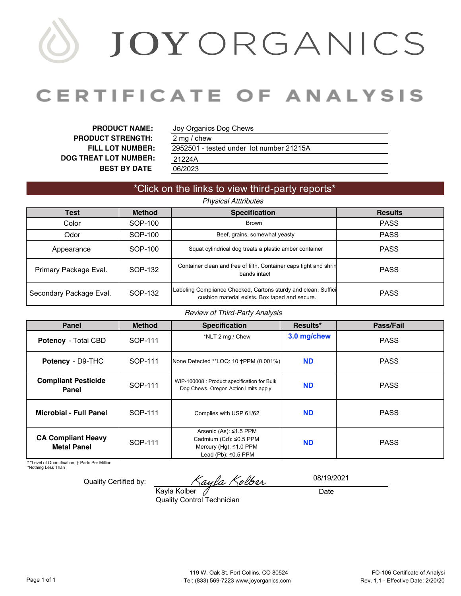# JOYORGANICS

# **CERTIFICATE OF ANALYSIS**

**PRODUCT NAME: PRODUCT STRENGTH: FILL LOT NUMBER: DOG TREAT LOT NUMBER: BEST BY DATE**

Joy Organics Dog Chews

06/2023 2952501 [- tested under lot number 21215A](#page-1-0)  [21224A](#page-2-0) 2 mg / chew

## \*Click on the links to view third-party reports\*

### **Results** Color SOP-100 Brown PASS Odor **SOP-100** Beef, grains, somewhat yeasty **PASS** Appearance *Physical Atttributes* **Test Method Specification** SOP-100 Squat cylindrical dog treats a plastic amber container PASS Primary Package Eval. SOP-132 Container clean and free of filth. Container caps tight and shrin bands intact explorers and string PASS Secondary Package Eval. SOP-132 Labeling Compliance Checked, Cartons sturdy and clean. Suffici Fompliance Checked, Cartons sturdy and clean. Sumcletion example and secure.

#### *Review of Third-Party Analysis*

| <b>Panel</b>                                    | <b>Method</b> | <b>Specification</b>                                                                                                | Results*    | Pass/Fail   |  |
|-------------------------------------------------|---------------|---------------------------------------------------------------------------------------------------------------------|-------------|-------------|--|
| <b>Potency</b> - Total CBD                      | SOP-111       | *NLT 2 mg / Chew                                                                                                    | 3.0 mg/chew | <b>PASS</b> |  |
| Potency - D9-THC                                | SOP-111       | None Detected ** LOQ: 10 + PPM (0.001%)                                                                             | <b>ND</b>   | <b>PASS</b> |  |
| <b>Compliant Pesticide</b><br>Panel             | SOP-111       | WIP-100008 : Product specification for Bulk<br>Dog Chews, Oregon Action limits apply                                | <b>ND</b>   | <b>PASS</b> |  |
| <b>Microbial - Full Panel</b>                   | SOP-111       | Complies with USP 61/62                                                                                             | <b>ND</b>   | <b>PASS</b> |  |
| <b>CA Compliant Heavy</b><br><b>Metal Panel</b> | SOP-111       | Arsenic (As): $\leq$ 1.5 PPM<br>Cadmium (Cd): ≤0.5 PPM<br>Mercury (Hg): $\leq 1.0$ PPM<br>Lead (Pb): $\leq$ 0.5 PPM | <b>ND</b>   | <b>PASS</b> |  |

\* \*Level of Quantification, † Parts Per Million

\*Nothing Less Than

Quality Certified by:

Zayla Kolber

**Date** 08/19/2021

Kayla Kolber Quality Control Technician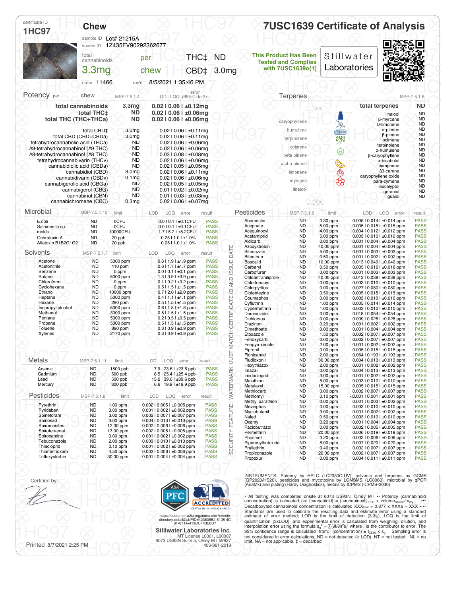<span id="page-1-0"></span>

| certificate ID<br><b>1HC97</b>                                       | <b>Chew</b>                                      | sample ID Lot# 21215A                  |                                                                      |                            |                               |                                    | <b>7USC1639 Certificate of Analysis</b>                    |                          |     |                                                                                                                   |                            |
|----------------------------------------------------------------------|--------------------------------------------------|----------------------------------------|----------------------------------------------------------------------|----------------------------|-------------------------------|------------------------------------|------------------------------------------------------------|--------------------------|-----|-------------------------------------------------------------------------------------------------------------------|----------------------------|
|                                                                      | source ID                                        | 1Z435FV90292362677                     |                                                                      |                            |                               |                                    |                                                            |                          |     |                                                                                                                   |                            |
|                                                                      | total<br>cannabinoids                            |                                        | per                                                                  | THC <sup>+</sup>           | <b>ND</b>                     |                                    | <b>This Product Has Been</b><br><b>Tested and Complies</b> | Stillwater               |     |                                                                                                                   |                            |
|                                                                      | 3.3mg                                            |                                        | chew                                                                 | CBD <sup>+</sup>           | 3.0 <sub>mg</sub>             |                                    | with 7USC1639o(1)                                          | Laboratories             |     |                                                                                                                   |                            |
|                                                                      | order 11466                                      | rec'd                                  | 8/5/2021 1:35:46 PM                                                  |                            |                               |                                    |                                                            |                          |     |                                                                                                                   |                            |
| Potency per                                                          |                                                  |                                        | error                                                                |                            |                               |                                    |                                                            |                          |     |                                                                                                                   |                            |
|                                                                      | chew                                             | MSP-7.5.1.4<br>3.3 <sub>mg</sub>       | LOD LOQ (95%CI k=2)                                                  |                            |                               |                                    | Terpenes                                                   |                          |     | total terpenes                                                                                                    | MSP-7.5.1.6<br><b>ND</b>   |
|                                                                      | total cannabinoids<br>total THC‡                 | <b>ND</b>                              | $0.02$   0.06   $\pm 0.12$ mg<br>$0.02$   0.06   $\pm 0.06$ mg       |                            |                               |                                    |                                                            |                          |     | linalool                                                                                                          | <b>ND</b>                  |
|                                                                      | total THC (THC+THCa)                             | <b>ND</b>                              | $0.02$   0.06   $\pm 0.06$ mg                                        |                            |                               |                                    | caryophyllene                                              |                          |     | β-myrcene<br>D-limonene                                                                                           | <b>ND</b><br><b>ND</b>     |
|                                                                      | total CBD‡<br>total CBD (CBD+CBDa)               | 3.0 <sub>mg</sub><br>3.0 <sub>mg</sub> | $0.02$   0.06   $\pm 0.11$ mg<br>$0.02$   0.06   $\pm 0.11$ mg       |                            |                               |                                    | humulene                                                   | <b>A</b>                 |     | a-pinene<br>β-pinene                                                                                              | <b>ND</b><br><b>ND</b>     |
| tetrahydrocannabolic acid (THCa)                                     |                                                  | <b>ND</b>                              | $0.02$   0.06   $\pm 0.06$ mg                                        |                            |                               |                                    | terpinolene<br>ocimene                                     |                          |     | ocimene<br>terpinolene                                                                                            | <b>ND</b><br><b>ND</b>     |
| Δ9-tetrahydrocannabinol (Δ9 THC)<br>Δ8-tetrahydrocannabinol (Δ8 THC) |                                                  | <b>ND</b><br><b>ND</b>                 | $0.02$   $0.06$   $\pm 0.06$ mg<br>$0.03$   $0.08$   $\pm 0.08$ mg   |                            |                               |                                    | beta pinene                                                | ಭ                        |     | a-humulene<br>β-caryophyllene                                                                                     | <b>ND</b><br><b>ND</b>     |
| tetrahydrocannabivarin (THCv)                                        | cannabidiolic acid (CBDa)                        | <b>ND</b><br><b>ND</b>                 | $0.02 \mid 0.06 \mid \pm 0.06$ mq<br>$0.02$   $0.05$   $\pm 0.05$ mg |                            |                               |                                    | alpha pinene                                               | Ø                        |     | a-bisabolol<br>camphene                                                                                           | <b>ND</b><br><b>ND</b>     |
|                                                                      | cannabidiol (CBD)<br>cannabidivarin (CBDv)       | 3.0 <sub>mg</sub><br>0.1 <sub>mg</sub> | $0.02$   $0.06$   $\pm 0.11$ mg<br>$0.02$   0.06   ±0.06mg           |                            |                               |                                    | limonene                                                   | తి                       |     | $\Delta$ 3-carene<br>caryophyllene oxide                                                                          | <b>ND</b><br><b>ND</b>     |
|                                                                      | cannabigerolic acid (CBGa)<br>cannabigerol (CBG) | <b>ND</b><br><b>ND</b>                 | $0.02$   0.05   $\pm 0.05$ mg<br>$0.01$   $0.02$   $\pm 0.02$ mg     |                            |                               |                                    | myrcene<br>linalool                                        | භි                       |     | para-cymene<br>eucalyptol                                                                                         | <b>ND</b><br><b>ND</b>     |
|                                                                      | cannabinol (CBN)                                 | <b>ND</b>                              | $0.01$   $0.03$   $\pm 0.03$ mg                                      |                            |                               |                                    |                                                            |                          |     | geraniol<br>guaiol                                                                                                | <b>ND</b><br><b>ND</b>     |
| Microbial                                                            | cannabichromene (CBC)                            | 0.3 <sub>mg</sub>                      | $0.02$   0.06   $\pm 0.07$ mg                                        |                            |                               |                                    |                                                            |                          |     |                                                                                                                   |                            |
| E.coli                                                               | MSP-7.5.1.10<br><b>ND</b>                        | limit<br><b>OCFU</b>                   | LOD<br>LOQ<br>error<br>0.010.11±0.1CFU                               | result<br><b>PASS</b>      |                               | Pesticides<br>Abamectin            | MSP-7.5.1.8<br><b>ND</b>                                   | limit<br>$0.30$ ppm      | LOD | LOQ<br>error<br>0.005   0.014   ±0.014 ppm                                                                        | result<br><b>PASS</b>      |
| Salmonella sp<br>molds                                               | <b>ND</b><br><b>ND</b>                           | 0CFU<br>10000CFU                       | 0.0   0.1   ±0.1CFU<br>1.7   5.2   ±5.2CFU                           | <b>PASS</b><br><b>PASS</b> |                               | Acephate<br>Acequinocyl            | <b>ND</b><br><b>ND</b>                                     | 5.00 ppm<br>4.00 ppm     |     | $0.005$   $0.015$   $\pm 0.015$ ppm<br>$0.004$   $0.012$   $\pm 0.012$ ppm                                        | <b>PASS</b><br><b>PASS</b> |
| Ochratoxin A<br>Aflatoxin B1B2G1G2                                   | <b>ND</b><br><b>ND</b>                           | 20 ppb<br>20 ppb                       | $0.2511.01 \pm 1.0\%$<br>$0.2511.01 \pm 1.0\%$                       | <b>PASS</b><br><b>PASS</b> |                               | Acetamiprid<br>Aldicarb            | <b>ND</b><br><b>ND</b>                                     | 5.00 ppm<br>$0.00$ ppm   |     | $0.003$   $0.010$   $\pm 0.010$ ppm<br>$0.001$   $0.004$   $\pm 0.004$ ppm                                        | <b>PASS</b><br><b>PASS</b> |
| Solvents                                                             | MSP-7.5.1.7                                      | limit                                  | LOD<br><b>LOQ</b><br>error                                           | result                     | DATE                          | Azoxystrobin<br>Bifenazate         | <b>ND</b><br><b>ND</b>                                     | 40.00 ppm<br>5.00 ppm    |     | 0.001   0.004   ±0.004 ppm<br>$0.001$   $0.003$   $\pm 0.003$ ppm                                                 | <b>PASS</b><br><b>PASS</b> |
| Acetone                                                              | <b>ND</b>                                        | 5000 ppm                               | $0.611.91 \pm 1.9$ ppm                                               | <b>PASS</b>                |                               | Bifenthrin<br><b>Boscalid</b>      | <b>ND</b><br><b>ND</b>                                     | $0.50$ ppm<br>10.00 ppm  |     | 0.001   0.002   ±0.002 ppm<br>$0.013$   $0.040$   $\pm 0.040$ ppm                                                 | <b>PASS</b><br><b>PASS</b> |
| Acetonitrile<br>Benzene                                              | <b>ND</b><br><b>ND</b>                           | 410 ppm<br>0 ppm                       | $0.6$   1.7   $\pm$ 1.7 ppm<br>$0.010.11 \pm 0.1$ ppm                | <b>PASS</b><br><b>PASS</b> |                               | Carbaryl<br>Carbofuran             | <b>ND</b><br><b>ND</b>                                     | $0.50$ ppm<br>$0.00$ ppm |     | $0.005$   $0.016$   $\pm 0.016$ ppm<br>$0.001$   $0.003$   $\pm 0.003$ ppm                                        | <b>PASS</b><br><b>PASS</b> |
| <b>Butane</b><br>Chloroform                                          | <b>ND</b><br><b>ND</b>                           | 5000 ppm<br>0 ppm                      | 1.3   3.9   ±3.9 ppm<br>$0.110.21 \pm 0.2$ ppm                       | <b>PASS</b><br><b>PASS</b> | ATCH CERTIFICATE ID AND ISSUE | Chloantraniliprole<br>Chlorfenapyr | <b>ND</b><br><b>ND</b>                                     | 40.00 ppm<br>$0.00$ ppm  |     | $0.013$   $0.038$   $\pm 0.038$ ppm<br>$0.003$   $0.010$   $\pm 0.010$ ppm                                        | <b>PASS</b><br><b>PASS</b> |
| Cyclohexane<br>Ethanol                                               | <b>ND</b><br><b>ND</b>                           | 0 ppm<br>10000 ppm                     | $0.5$   1.5   $\pm$ 1.5 ppm<br>$0.712.01 \pm 2.0$ ppm                | <b>PASS</b><br><b>PASS</b> |                               | Chlorpyrifos<br>Clofentezine       | <b>ND</b><br><b>ND</b>                                     | $0.00$ ppm<br>$0.50$ ppm |     | 0.027   0.080   ±0.080 ppm<br>$0.00510.0151 \pm 0.015$ ppm                                                        | <b>PASS</b><br><b>PASS</b> |
| Heptane<br>Hexane                                                    | <b>ND</b><br><b>ND</b>                           | 5000 ppm<br>290 ppm                    | $0.4$   1.1   $\pm$ 1.1 ppm<br>$0.511.51 \pm 1.5$ ppm                | <b>PASS</b><br><b>PASS</b> |                               | Coumaphos<br>Cyfluthrin            | <b>ND</b><br><b>ND</b>                                     | $0.00$ ppm<br>1.00 ppm   |     | $0.003$   $0.010$   $\pm 0.010$ ppm<br>$0.005$   $0.014$   $\pm 0.014$ ppm                                        | <b>PASS</b><br><b>PASS</b> |
| Isopropyl alcohol<br>Methanol                                        | <b>ND</b><br><b>ND</b>                           | 5000 ppm<br>3000 ppm                   | $0.6$   1.8   $\pm$ 1.8 ppm<br>$0.5$   1.5   $\pm$ 1.5 ppm           | <b>PASS</b><br><b>PASS</b> |                               | Cypermethrin<br>Daminozide         | <b>ND</b><br><b>ND</b>                                     | 1.00 ppm<br>$0.00$ ppm   |     | $0.003$   $0.010$   $\pm 0.010$ ppm<br>0.018   0.054   ±0.054 ppm                                                 | <b>PASS</b><br><b>PASS</b> |
| Pentane<br>Propane                                                   | <b>ND</b><br><b>ND</b>                           | 5000 ppm<br>5000 ppm                   | $0.2$   $0.5$   $\pm 0.5$ ppm<br>$0.5$   1.5   $\pm$ 1.5 ppm         | <b>PASS</b><br><b>PASS</b> |                               | Dichlorvos<br>Diazinon             | ND<br><b>ND</b>                                            | $0.00$ ppm<br>$0.20$ ppm |     | $0.009$   $0.028$   $\pm 0.028$ ppm<br>0.001   0.002   ±0.002 ppm                                                 | <b>PASS</b><br><b>PASS</b> |
| Toluene<br>Xylenes                                                   | <b>ND</b><br><b>ND</b>                           | 890 ppm<br>2170 ppm                    | $0.310.91 \pm 0.9$ ppm<br>$0.310.91 \pm 0.9$ ppm                     | <b>PASS</b><br><b>PASS</b> |                               | Dimethoate<br>Etoxazole            | <b>ND</b><br><b>ND</b>                                     | $0.00$ ppm<br>1.50 ppm   |     | $0.001$   $0.004$   $\pm 0.004$ ppm<br>$0.002$   $0.007$   $\pm 0.007$ ppm                                        | <b>PASS</b><br><b>PASS</b> |
|                                                                      |                                                  |                                        |                                                                      |                            |                               | Fenoxycarb<br>Fenpyroximate        | <b>ND</b><br>ND                                            | 0.00 ppm<br>2.00 ppm     |     | $0.002$   $0.007$   $\pm 0.007$ ppm<br>$0.001$   $0.002$   $\pm 0.002$ ppm                                        | <b>PASS</b><br><b>PASS</b> |
|                                                                      |                                                  |                                        |                                                                      |                            | Σ                             | Fipronil<br>Flonicamid             | <b>ND</b><br>ND                                            | $0.00$ ppm<br>2.00 ppm   |     | $0.005$   $0.015$   $\pm 0.015$ ppm<br>$0.064$   0.193   $\pm 0.193$ ppm                                          | <b>PASS</b><br><b>PASS</b> |
| <b>Metals</b>                                                        | MSP-7.5.1.11                                     | limit                                  | LOD<br>LOQ<br>error                                                  | result                     |                               | Fludioxonil<br>Hexythiazox         | ND<br><b>ND</b>                                            | 30.00 ppm<br>2.00 ppm    |     | 0.004   0.013   ±0.013 ppm<br>$0.001$   $0.002$   $\pm 0.002$ ppm                                                 | <b>PASS</b><br><b>PASS</b> |
| Arsenic<br>Cadmium                                                   | ND<br><b>ND</b>                                  | 1500 ppb<br>500 ppb                    | 7.9   23.6   ±23.6 ppb<br>8.5   25.4   ±25.4 ppb                     | <b>PASS</b><br><b>PASS</b> |                               | Imazalil                           | <b>ND</b>                                                  | $0.00$ ppm               |     | $0.004$   $0.013$   $\pm 0.013$ ppm                                                                               | <b>PASS</b>                |
| Lead<br>Mercury                                                      | <b>ND</b><br>ND                                  | 500 ppb<br>300 ppb                     | 13.2   39.6   ±39.6 ppb<br>6.6   19.9   ±19.9 ppb                    | <b>PASS</b><br><b>PASS</b> |                               | Imidacloprid<br>Malathion          | ND<br><b>ND</b>                                            | 3.00 ppm<br>5.00 ppm     |     | $0.001$   $0.002$   $\pm 0.002$ ppm<br>$0.003$   $0.010$   $\pm 0.010$ ppm                                        | <b>PASS</b><br><b>PASS</b> |
| Pesticides                                                           | MSP-7.5.1.8                                      |                                        | LOD                                                                  |                            | WATERMARK MUST                | Metalaxyl<br>Methiocarb            | <b>ND</b><br><b>ND</b><br><b>ND</b>                        | 15.00 ppm<br>$0.00$ ppm  |     | $0.005$   $0.015$   $\pm 0.015$ ppm<br>0.002   0.007   ±0.007 ppm                                                 | <b>PASS</b><br><b>PASS</b> |
| Pyrethrin                                                            | <b>ND</b>                                        | limit<br>1.00 ppm                      | LOQ error<br>0.002   0.005   ±0.005 ppm                              | result<br><b>PASS</b>      |                               | Methomyl<br>Methyl parathion       | <b>ND</b>                                                  | $0.10$ ppm<br>$0.00$ ppm |     | <0.001   0.001   ±0.001 ppm<br>$0.001$   $0.002$   $\pm 0.002$ ppm                                                | <b>PASS</b><br><b>PASS</b> |
| Pyridaben<br>Spinetoram                                              | <b>ND</b><br>ND.                                 | 3.00 ppm<br>3.00 ppm                   | 0.001   0.002   ±0.002 ppm<br>0.002   0.007   ±0.007 ppm             | <b>PASS</b><br><b>PASS</b> | FEATURE:                      | Mevinphos<br>Myclobutanil          | ND<br><b>ND</b>                                            | 0.00 ppm<br>9.00 ppm     |     | $0.003$   $0.010$   $\pm 0.010$ ppm<br>$0.001$   $0.002$   $\pm 0.002$ ppm<br>$0.003$   $0.010$   $\pm 0.010$ ppm | <b>PASS</b><br><b>PASS</b> |
| Spinosad<br>Spiromesifen                                             | <b>ND</b><br><b>ND</b>                           | 3.00 ppm<br>12.00 ppm                  | $0.004$   $0.013$   $\pm 0.013$ ppm<br>0.002   0.006   ±0.006 ppm    | <b>PASS</b><br><b>PASS</b> |                               | Naled<br>Oxamyl<br>Paclobutrazol   | <b>ND</b><br>ND<br><b>ND</b>                               | $0.50$ ppm<br>$0.20$ ppm |     | 0.001   0.004   ±0.004 ppm<br>$0.002$   $0.005$   $\pm 0.005$ ppm                                                 | <b>PASS</b><br><b>PASS</b> |
| Spirotetramat<br>Spiroxamine                                         | ND<br>ND                                         | 13.00 ppm<br>$0.00$ ppm                | 0.002   0.005   ±0.005 ppm<br>$0.001$   $0.002$   $\pm 0.002$ ppm    | <b>PASS</b><br><b>PASS</b> |                               | Permethrin                         | <b>ND</b>                                                  | $0.00$ ppm<br>20.00 ppm  |     | $0.006$   $0.019$   $\pm 0.019$ ppm                                                                               | <b>PASS</b><br><b>PASS</b> |
| Tebuconazole<br>Thiacloprid                                          | <b>ND</b><br>ND.                                 | 2.00 ppm<br>$0.10$ ppm                 | $0.003$   $0.010$   $\pm 0.010$ ppm<br>0.001   0.002   ±0.002 ppm    | <b>PASS</b><br><b>PASS</b> | <b>SECURITY</b>               | Phosmet<br>Piperonylbutoxide       | ND.<br><b>ND</b>                                           | 0.20 ppm<br>8.00 ppm     |     | $0.002$   $0.006$   $\pm 0.006$ ppm<br>0.007   0.020   ±0.020 ppm                                                 | <b>PASS</b><br><b>PASS</b> |
| Thiamethoxam                                                         | <b>ND</b>                                        | 4.50 ppm                               | 0.002   0.006   ±0.006 ppm                                           | <b>PASS</b>                |                               | Prallethrin<br>Propiconazole       | <b>ND</b><br>ND                                            | $0.40$ ppm<br>20.00 ppm  |     | $0.002$   $0.007$   $\pm 0.007$ ppm<br>$0.002$   $0.007$   $\pm 0.007$ ppm                                        | <b>PASS</b><br><b>PASS</b> |

Certified by:<br>Certified by:<br>Asa (GP2020/HS20), pesticides and mycotoxins by LCMSMS (LC8060), microbial by qPCR<br>(AriaMx) and plating (Hardy Diagnostics), metals by ICPMS (ICPMS-2030)<br>(AriaMx) and plating (Hardy Diagnostics)

All testing was completed onsite at 6073 US93N, Olney MT ... Potency (cannabinoid<br>
COREDITED<br>
Central sections and the central on central concentration is calculated as: [cannabioid] = [cannabioid]<sub>HPLC</sub> x Volume<sub>dilution</sub> Standards are used to calibrate the resulting data and estimate error using a standard<br>
estimate of error method; LOD is the limit of detection (3.3s), LOQ is the limit of<br>
eF-871A-419DCF-428635B2-5128-4C<br>
eF-871A-419DCF-4 Stillwater Laboratories Inc.<br>MT License L0001, L00007<br>6073 US93N Suite 5, Olney MT 59927 limit, NA = not applicable.  $\pm$  decarbed  $\epsilon$  LOD), NT = not detected (< LOD), NT = not tested, NL = no • All testing was completed onsite at 6073 US93N, Olney MT •• Potency (cannabinoid<br>concentration) is acluated as: [cannabioid] = [cannabinoid<br>Decarboxyted cannabinoid concentration is calculated XXX<sub>tval</sub> = 0.877 x XXMa +

Certified by:

8/7/2021 2:25 PM



https://customer.a2la.org/index.cfm?event= directory.detail&labPID=423635B2-5128-4C 6F-871A-419DCF43B0D7

 $\mathbb{R}^{\text{Printed } 8/7/2021\ 2:25\ \text{PM}}$   $\text{CO}7 \quad \text{\textcircled{8}}$   $\textcircled{3}^{\text{2018}}$   $\textcircled{406-881-2019}$   $\textcircled{9}^{\text{2018}}$   $\textcircled{9}^{\text{2018}}$   $\textcircled{1}$   $\textcircled{9}^{\text{2018}}$   $\textcircled{1}$   $\textcircled{9}^{\text{2018}}$   $\textcircled{1}$ **Stillwater Laboratories Inc.**<br>MT License L0001, L00007<br>A06-881-2019 A06-881-2019 A06-881-2019